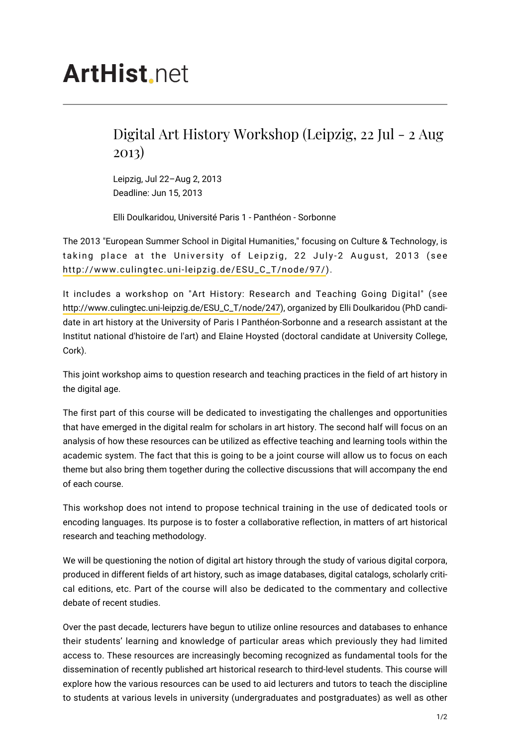## Digital Art History Workshop (Leipzig, 22 Jul - 2 Aug 2013)

Leipzig, Jul 22–Aug 2, 2013 Deadline: Jun 15, 2013

Elli Doulkaridou, Université Paris 1 - Panthéon - Sorbonne

The 2013 "European Summer School in Digital Humanities," focusing on Culture & Technology, is taking place at the University of Leipzig, 22 July-2 August, 2013 (see [http://www.culingtec.uni-leipzig.de/ESU\\_C\\_T/node/97/\)](http://www.culingtec.uni-leipzig.de/ESU_C_T/node/97/).

It includes a workshop on "Art History: Research and Teaching Going Digital" (see [http://www.culingtec.uni-leipzig.de/ESU\\_C\\_T/node/247](http://www.culingtec.uni-leipzig.de/ESU_C_T/node/247)), organized by Elli Doulkaridou (PhD candidate in art history at the University of Paris I Panthéon-Sorbonne and a research assistant at the Institut national d'histoire de l'art) and Elaine Hoysted (doctoral candidate at University College, Cork).

This joint workshop aims to question research and teaching practices in the field of art history in the digital age.

The first part of this course will be dedicated to investigating the challenges and opportunities that have emerged in the digital realm for scholars in art history. The second half will focus on an analysis of how these resources can be utilized as effective teaching and learning tools within the academic system. The fact that this is going to be a joint course will allow us to focus on each theme but also bring them together during the collective discussions that will accompany the end of each course.

This workshop does not intend to propose technical training in the use of dedicated tools or encoding languages. Its purpose is to foster a collaborative reflection, in matters of art historical research and teaching methodology.

We will be questioning the notion of digital art history through the study of various digital corpora, produced in different fields of art history, such as image databases, digital catalogs, scholarly critical editions, etc. Part of the course will also be dedicated to the commentary and collective debate of recent studies.

Over the past decade, lecturers have begun to utilize online resources and databases to enhance their students' learning and knowledge of particular areas which previously they had limited access to. These resources are increasingly becoming recognized as fundamental tools for the dissemination of recently published art historical research to third-level students. This course will explore how the various resources can be used to aid lecturers and tutors to teach the discipline to students at various levels in university (undergraduates and postgraduates) as well as other